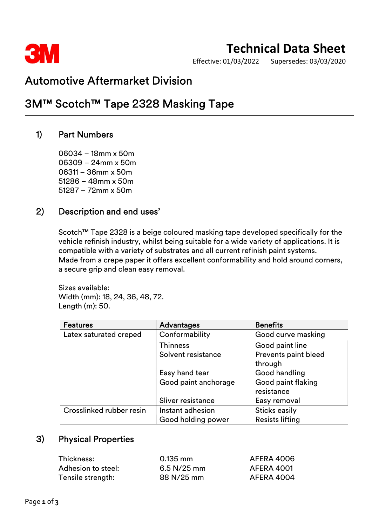

# Technical Data Sheet

Effective: 01/03/2022 Supersedes: 03/03/2020

### Automotive Aftermarket Division

## 3M™ Scotch™ Tape 2328 Masking Tape

### 1) Part Numbers

06034 – 18mm x 50m 06309 – 24mm x 50m 06311 – 36mm x 50m 51286 – 48mm x 50m 51287 – 72mm x 50m

#### 2) Description and end uses'

Scotch™ Tape 2328 is a beige coloured masking tape developed specifically for the vehicle refinish industry, whilst being suitable for a wide variety of applications. It is compatible with a variety of substrates and all current refinish paint systems. Made from a crepe paper it offers excellent conformability and hold around corners, a secure grip and clean easy removal.

Sizes available: Width (mm): 18, 24, 36, 48, 72. Length (m): 50.

| <b>Features</b>          | <b>Advantages</b>    | <b>Benefits</b>        |
|--------------------------|----------------------|------------------------|
| Latex saturated creped   | Conformability       | Good curve masking     |
|                          | <b>Thinness</b>      | Good paint line        |
|                          | Solvent resistance   | Prevents paint bleed   |
|                          |                      | through                |
|                          | Easy hand tear       | Good handling          |
|                          | Good paint anchorage | Good paint flaking     |
|                          |                      | resistance             |
|                          | Sliver resistance    | Easy removal           |
| Crosslinked rubber resin | Instant adhesion     | <b>Sticks easily</b>   |
|                          | Good holding power   | <b>Resists lifting</b> |

### 3) Physical Properties

| Thickness:         | $0.135$ mm  | AFERA 4006        |
|--------------------|-------------|-------------------|
| Adhesion to steel: | 6.5 N/25 mm | <b>AFERA 4001</b> |
| Tensile strength:  | 88 N/25 mm  | AFERA 4004        |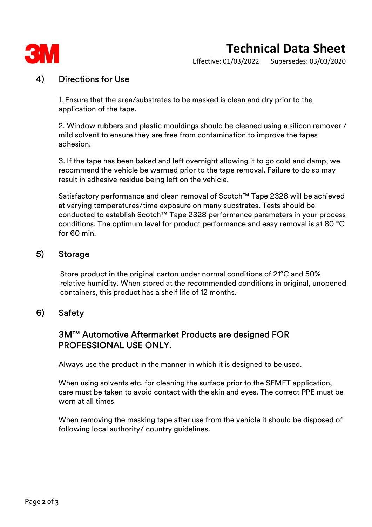

# Technical Data Sheet

Effective: 01/03/2022 Supersedes: 03/03/2020

#### 4) Directions for Use

1. Ensure that the area/substrates to be masked is clean and dry prior to the application of the tape.

2. Window rubbers and plastic mouldings should be cleaned using a silicon remover / mild solvent to ensure they are free from contamination to improve the tapes adhesion.

3. If the tape has been baked and left overnight allowing it to go cold and damp, we recommend the vehicle be warmed prior to the tape removal. Failure to do so may result in adhesive residue being left on the vehicle.

Satisfactory performance and clean removal of Scotch™ Tape 2328 will be achieved at varying temperatures/time exposure on many substrates. Tests should be conducted to establish Scotch™ Tape 2328 performance parameters in your process conditions. The optimum level for product performance and easy removal is at 80 °C for 60 min.

#### 5) Storage

Store product in the original carton under normal conditions of 21°C and 50% relative humidity. When stored at the recommended conditions in original, unopened containers, this product has a shelf life of 12 months.

#### 6) Safety

#### 3M™ Automotive Aftermarket Products are designed FOR PROFESSIONAL USE ONLY.

Always use the product in the manner in which it is designed to be used.

When using solvents etc. for cleaning the surface prior to the SEMFT application, care must be taken to avoid contact with the skin and eyes. The correct PPE must be worn at all times

When removing the masking tape after use from the vehicle it should be disposed of following local authority/ country guidelines.